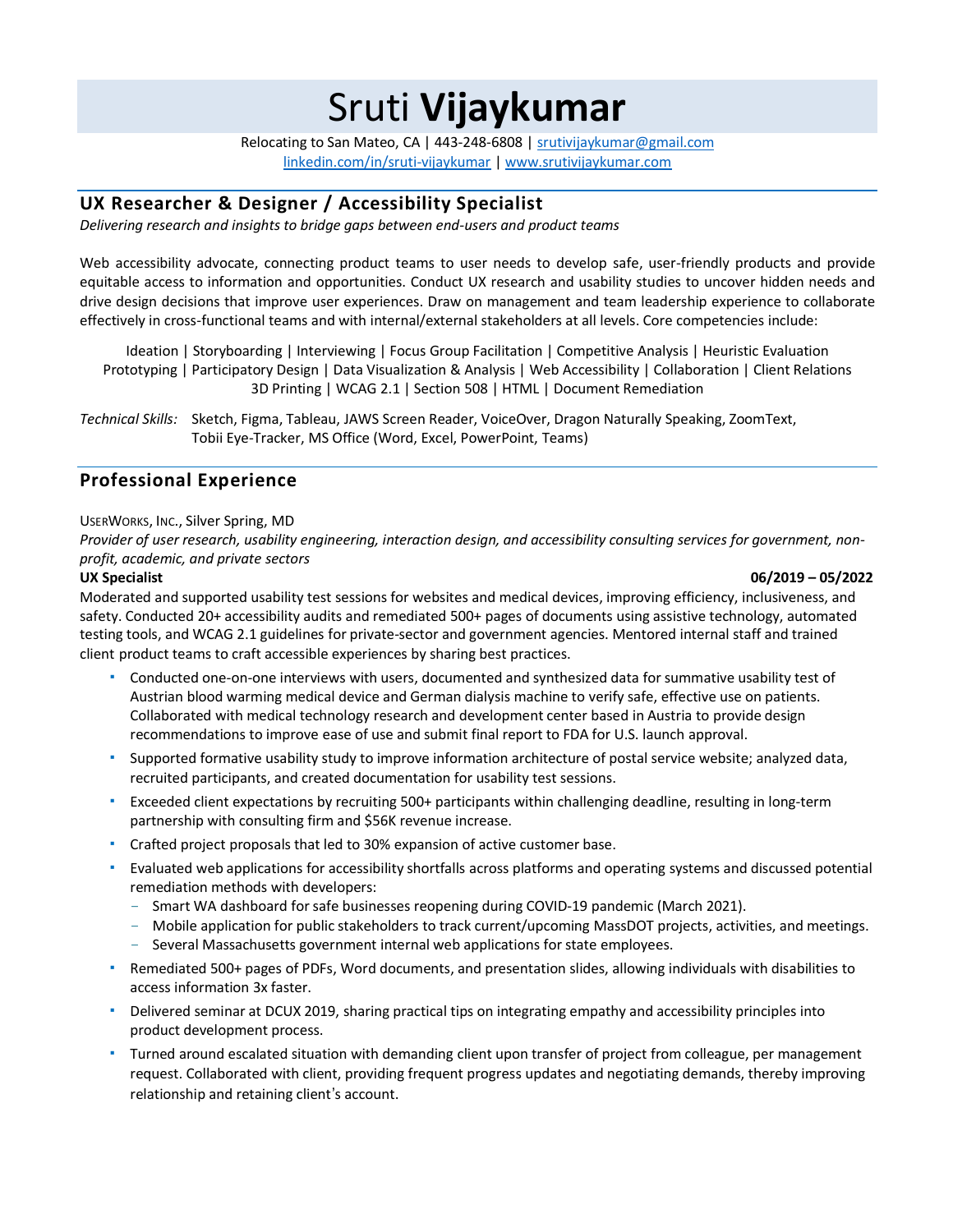Sruti **Vijaykumar**

Relocating to San Mateo, CA | 443-248-6808 | srutivijaykumar@gmail.com linkedin.com/in/sruti-vijaykumar | www.srutivijaykumar.com

# **UX Researcher & Designer / Accessibility Specialist**

*Delivering research and insights to bridge gaps between end-users and product teams*

Web accessibility advocate, connecting product teams to user needs to develop safe, user-friendly products and provide equitable access to information and opportunities. Conduct UX research and usability studies to uncover hidden needs and drive design decisions that improve user experiences. Draw on management and team leadership experience to collaborate effectively in cross-functional teams and with internal/external stakeholders at all levels. Core competencies include:

Ideation | Storyboarding | Interviewing | Focus Group Facilitation | Competitive Analysis | Heuristic Evaluation Prototyping | Participatory Design | Data Visualization & Analysis | Web Accessibility | Collaboration | Client Relations 3D Printing | WCAG 2.1 | Section 508 | HTML | Document Remediation

*Technical Skills:* Sketch, Figma, Tableau, JAWS Screen Reader, VoiceOver, Dragon Naturally Speaking, ZoomText, Tobii Eye-Tracker, MS Office (Word, Excel, PowerPoint, Teams)

## **Professional Experience**

USERWORKS, INC., Silver Spring, MD

Provider of user research, usability engineering, interaction design, and accessibility consulting services for government, non*profit, academic, and private sectors*

## **UX Specialist 06/2019 – 05/2022**

Moderated and supported usability test sessions for websites and medical devices, improving efficiency, inclusiveness, and safety. Conducted 20+ accessibility audits and remediated 500+ pages of documents using assistive technology, automated testing tools, and WCAG 2.1 guidelines for private-sector and government agencies. Mentored internal staff and trained client product teams to craft accessible experiences by sharing best practices.

- " Conducted one-on-one interviews with users, documented and synthesized data for summative usability test of Austrian blood warming medical device and German dialysis machine to verify safe, effective use on patients. Collaborated with medical technology research and development center based in Austria to provide design recommendations to improve ease of use and submit final report to FDA for U.S. launch approval.
- " Supported formative usability study to improve information architecture of postal service website; analyzed data, recruited participants, and created documentation for usability test sessions.
- " Exceeded client expectations by recruiting 500+ participants within challenging deadline, resulting in long-term partnership with consulting firm and \$56K revenue increase.
- " Crafted project proposals that led to 30% expansion of active customer base.
- " Evaluated web applications for accessibility shortfalls across platforms and operating systems and discussed potential remediation methods with developers:
	- Smart WA dashboard for safe businesses reopening during COVID-19 pandemic (March 2021).
	- Mobile application for public stakeholders to track current/upcoming MassDOT projects, activities, and meetings.
	- Several Massachusetts government internal web applications for state employees.
- " Remediated 500+ pages of PDFs, Word documents, and presentation slides, allowing individuals with disabilities to access information 3x faster.
- " Delivered seminar at DCUX 2019, sharing practical tips on integrating empathy and accessibility principles into product development process.
- " Turned around escalated situation with demanding client upon transfer of project from colleague, per management request. Collaborated with client, providing frequent progress updates and negotiating demands, thereby improving relationship and retaining client's account.